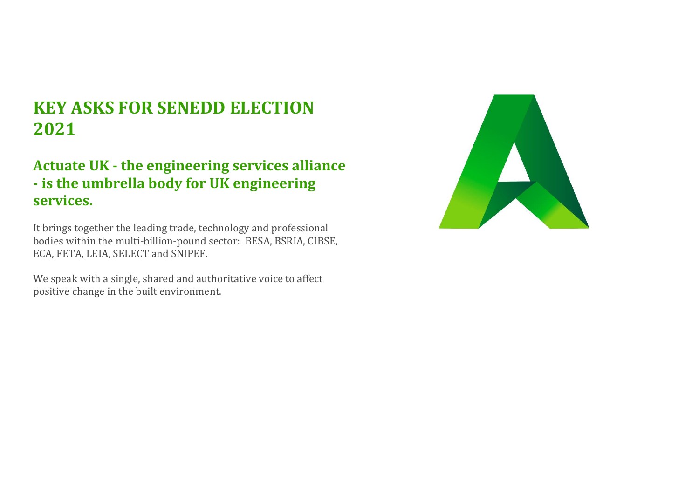# **KEY ASKS FOR SENEDD ELECTION 2021**

## **Actuate UK - the engineering services alliance - is the umbrella body for UK engineering services.**

It brings together the leading trade, technology and professional bodies within the multi-billion-pound sector: BESA, BSRIA, CIBSE, ECA, FETA, LEIA, SELECT and SNIPEF.

We speak with a single, shared and authoritative voice to affect positive change in the built environment.

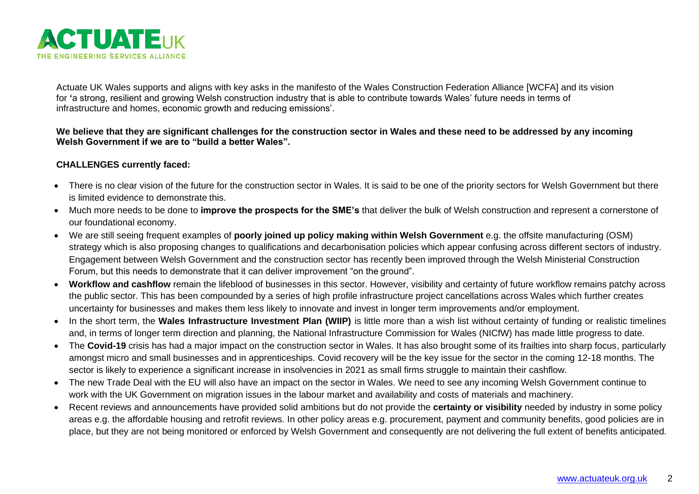

Actuate UK Wales supports and aligns with key asks in the manifesto of the Wales Construction Federation Alliance [WCFA] and its vision for **'**a strong, resilient and growing Welsh construction industry that is able to contribute towards Wales' future needs in terms of infrastructure and homes, economic growth and reducing emissions'.

#### **We believe that they are significant challenges for the construction sector in Wales and these need to be addressed by any incoming Welsh Government if we are to "build a better Wales".**

#### **CHALLENGES currently faced:**

- There is no clear vision of the future for the construction sector in Wales. It is said to be one of the priority sectors for Welsh Government but there is limited evidence to demonstrate this.
- Much more needs to be done to **improve the prospects for the SME's** that deliver the bulk of Welsh construction and represent a cornerstone of our foundational economy.
- We are still seeing frequent examples of **poorly joined up policy making within Welsh Government** e.g. the offsite manufacturing (OSM) strategy which is also proposing changes to qualifications and decarbonisation policies which appear confusing across different sectors of industry. Engagement between Welsh Government and the construction sector has recently been improved through the Welsh Ministerial Construction Forum, but this needs to demonstrate that it can deliver improvement "on the ground".
- **Workflow and cashflow** remain the lifeblood of businesses in this sector. However, visibility and certainty of future workflow remains patchy across the public sector. This has been compounded by a series of high profile infrastructure project cancellations across Wales which further creates uncertainty for businesses and makes them less likely to innovate and invest in longer term improvements and/or employment.
- In the short term, the **Wales Infrastructure Investment Plan (WIIP)** is little more than a wish list without certainty of funding or realistic timelines and, in terms of longer term direction and planning, the National Infrastructure Commission for Wales (NICfW) has made little progress to date.
- The **Covid-19** crisis has had a major impact on the construction sector in Wales. It has also brought some of its frailties into sharp focus, particularly amongst micro and small businesses and in apprenticeships. Covid recovery will be the key issue for the sector in the coming 12-18 months. The sector is likely to experience a significant increase in insolvencies in 2021 as small firms struggle to maintain their cashflow.
- The new Trade Deal with the EU will also have an impact on the sector in Wales. We need to see any incoming Welsh Government continue to work with the UK Government on migration issues in the labour market and availability and costs of materials and machinery.
- Recent reviews and announcements have provided solid ambitions but do not provide the **certainty or visibility** needed by industry in some policy areas e.g. the affordable housing and retrofit reviews. In other policy areas e.g. procurement, payment and community benefits, good policies are in place, but they are not being monitored or enforced by Welsh Government and consequently are not delivering the full extent of benefits anticipated.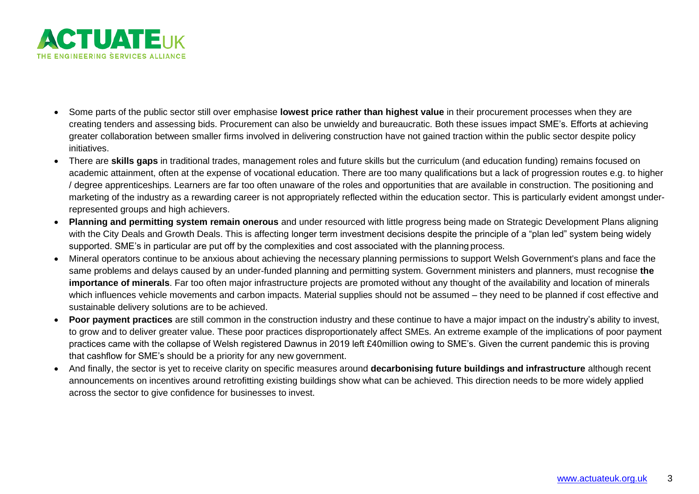

- Some parts of the public sector still over emphasise **lowest price rather than highest value** in their procurement processes when they are creating tenders and assessing bids. Procurement can also be unwieldy and bureaucratic. Both these issues impact SME's. Efforts at achieving greater collaboration between smaller firms involved in delivering construction have not gained traction within the public sector despite policy initiatives.
- There are **skills gaps** in traditional trades, management roles and future skills but the curriculum (and education funding) remains focused on academic attainment, often at the expense of vocational education. There are too many qualifications but a lack of progression routes e.g. to higher / degree apprenticeships. Learners are far too often unaware of the roles and opportunities that are available in construction. The positioning and marketing of the industry as a rewarding career is not appropriately reflected within the education sector. This is particularly evident amongst underrepresented groups and high achievers.
- **Planning and permitting system remain onerous** and under resourced with little progress being made on Strategic Development Plans aligning with the City Deals and Growth Deals. This is affecting longer term investment decisions despite the principle of a "plan led" system being widely supported. SME's in particular are put off by the complexities and cost associated with the planning process.
- Mineral operators continue to be anxious about achieving the necessary planning permissions to support Welsh Government's plans and face the same problems and delays caused by an under-funded planning and permitting system. Government ministers and planners, must recognise **the importance of minerals**. Far too often major infrastructure projects are promoted without any thought of the availability and location of minerals which influences vehicle movements and carbon impacts. Material supplies should not be assumed – they need to be planned if cost effective and sustainable delivery solutions are to be achieved.
- **Poor payment practices** are still common in the construction industry and these continue to have a major impact on the industry's ability to invest, to grow and to deliver greater value. These poor practices disproportionately affect SMEs. An extreme example of the implications of poor payment practices came with the collapse of Welsh registered Dawnus in 2019 left £40million owing to SME's. Given the current pandemic this is proving that cashflow for SME's should be a priority for any new government.
- And finally, the sector is yet to receive clarity on specific measures around **decarbonising future buildings and infrastructure** although recent announcements on incentives around retrofitting existing buildings show what can be achieved. This direction needs to be more widely applied across the sector to give confidence for businesses to invest.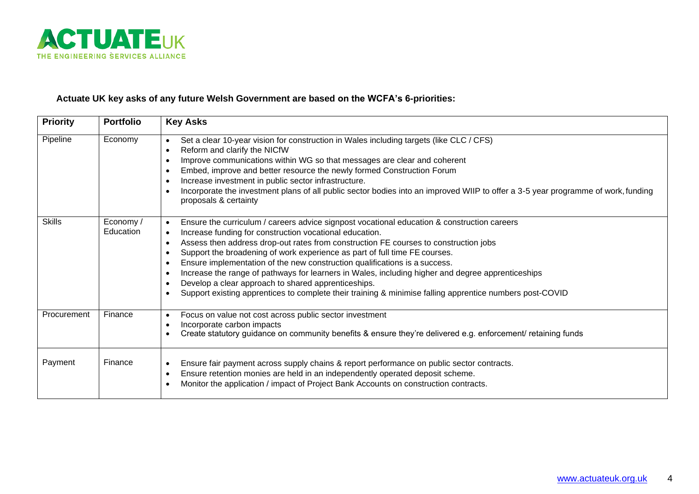

### **Actuate UK key asks of any future Welsh Government are based on the WCFA's 6-priorities:**

| <b>Priority</b> | <b>Portfolio</b>      | <b>Key Asks</b>                                                                                                                                                                                                                                                                                                                                                                                                                                                                                                                                                                                                                                                                                                                                                                            |
|-----------------|-----------------------|--------------------------------------------------------------------------------------------------------------------------------------------------------------------------------------------------------------------------------------------------------------------------------------------------------------------------------------------------------------------------------------------------------------------------------------------------------------------------------------------------------------------------------------------------------------------------------------------------------------------------------------------------------------------------------------------------------------------------------------------------------------------------------------------|
| Pipeline        | Economy               | Set a clear 10-year vision for construction in Wales including targets (like CLC / CFS)<br>$\bullet$<br>Reform and clarify the NICfW<br>$\bullet$<br>Improve communications within WG so that messages are clear and coherent<br>$\bullet$<br>Embed, improve and better resource the newly formed Construction Forum<br>$\bullet$<br>Increase investment in public sector infrastructure.<br>$\bullet$<br>Incorporate the investment plans of all public sector bodies into an improved WIIP to offer a 3-5 year programme of work, funding<br>$\bullet$<br>proposals & certainty                                                                                                                                                                                                          |
| <b>Skills</b>   | Economy/<br>Education | Ensure the curriculum / careers advice signpost vocational education & construction careers<br>$\bullet$<br>Increase funding for construction vocational education.<br>$\bullet$<br>Assess then address drop-out rates from construction FE courses to construction jobs<br>$\bullet$<br>Support the broadening of work experience as part of full time FE courses.<br>$\bullet$<br>Ensure implementation of the new construction qualifications is a success.<br>$\bullet$<br>Increase the range of pathways for learners in Wales, including higher and degree apprenticeships<br>$\bullet$<br>Develop a clear approach to shared apprenticeships.<br>$\bullet$<br>Support existing apprentices to complete their training & minimise falling apprentice numbers post-COVID<br>$\bullet$ |
| Procurement     | Finance               | Focus on value not cost across public sector investment<br>$\bullet$<br>Incorporate carbon impacts<br>$\bullet$<br>Create statutory guidance on community benefits & ensure they're delivered e.g. enforcement/ retaining funds<br>$\bullet$                                                                                                                                                                                                                                                                                                                                                                                                                                                                                                                                               |
| Payment         | Finance               | Ensure fair payment across supply chains & report performance on public sector contracts.<br>$\bullet$<br>Ensure retention monies are held in an independently operated deposit scheme.<br>$\bullet$<br>Monitor the application / impact of Project Bank Accounts on construction contracts.<br>$\bullet$                                                                                                                                                                                                                                                                                                                                                                                                                                                                                  |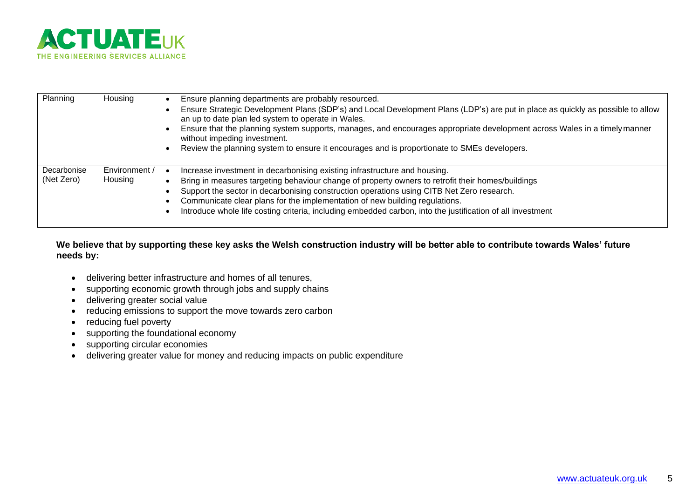

| Planning                  | Housing                  | Ensure planning departments are probably resourced.<br>Ensure Strategic Development Plans (SDP's) and Local Development Plans (LDP's) are put in place as quickly as possible to allow<br>an up to date plan led system to operate in Wales.<br>Ensure that the planning system supports, manages, and encourages appropriate development across Wales in a timely manner<br>without impeding investment.<br>Review the planning system to ensure it encourages and is proportionate to SMEs developers. |
|---------------------------|--------------------------|----------------------------------------------------------------------------------------------------------------------------------------------------------------------------------------------------------------------------------------------------------------------------------------------------------------------------------------------------------------------------------------------------------------------------------------------------------------------------------------------------------|
| Decarbonise<br>(Net Zero) | Environment /<br>Housing | Increase investment in decarbonising existing infrastructure and housing.<br>Bring in measures targeting behaviour change of property owners to retrofit their homes/buildings<br>Support the sector in decarbonising construction operations using CITB Net Zero research.<br>Communicate clear plans for the implementation of new building regulations.<br>Introduce whole life costing criteria, including embedded carbon, into the justification of all investment                                 |

**We believe that by supporting these key asks the Welsh construction industry will be better able to contribute towards Wales' future needs by:**

- delivering better infrastructure and homes of all tenures,
- supporting economic growth through jobs and supply chains
- delivering greater social value
- reducing emissions to support the move towards zero carbon
- reducing fuel poverty
- supporting the foundational economy
- supporting circular economies
- delivering greater value for money and reducing impacts on public expenditure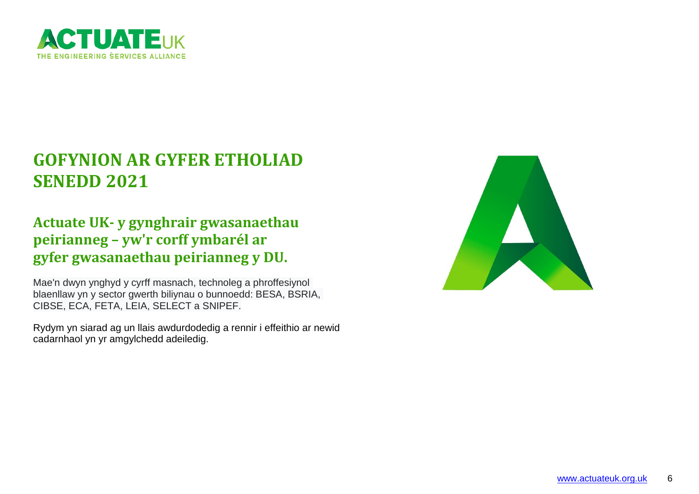

# **GOFYNION AR GYFER ETHOLIAD SENEDD 2021**

## **Actuate UK- y gynghrair gwasanaethau peirianneg – yw'r corff ymbarél ar gyfer gwasanaethau peirianneg y DU.**

Mae'n dwyn ynghyd y cyrff masnach, technoleg a phroffesiynol blaenllaw yn y sector gwerth biliynau o bunnoedd: BESA, BSRIA, CIBSE, ECA, FETA, LEIA, SELECT a SNIPEF.

Rydym yn siarad ag un llais awdurdodedig a rennir i effeithio ar newid cadarnhaol yn yr amgylchedd adeiledig.

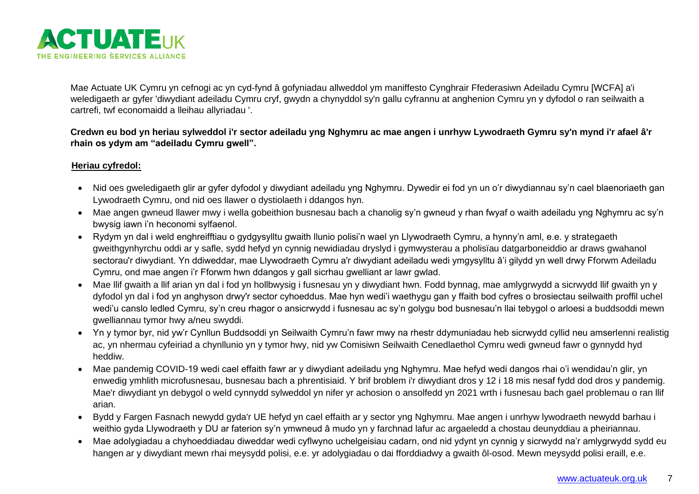

Mae Actuate UK Cymru yn cefnogi ac yn cyd-fynd â gofyniadau allweddol ym maniffesto Cynghrair Ffederasiwn Adeiladu Cymru [WCFA] a'i weledigaeth ar gyfer 'diwydiant adeiladu Cymru cryf, gwydn a chynyddol sy'n gallu cyfrannu at anghenion Cymru yn y dyfodol o ran seilwaith a cartrefi, twf economaidd a lleihau allyriadau '.

**Credwn eu bod yn heriau sylweddol i'r sector adeiladu yng Nghymru ac mae angen i unrhyw Lywodraeth Gymru sy'n mynd i'r afael â'r rhain os ydym am "adeiladu Cymru gwell".**

### **Heriau cyfredol:**

- Nid oes gweledigaeth glir ar gyfer dyfodol y diwydiant adeiladu yng Nghymru. Dywedir ei fod yn un o'r diwydiannau sy'n cael blaenoriaeth gan Lywodraeth Cymru, ond nid oes llawer o dystiolaeth i ddangos hyn.
- Mae angen gwneud llawer mwy i wella gobeithion busnesau bach a chanolig sy'n gwneud y rhan fwyaf o waith adeiladu yng Nghymru ac sy'n bwysig iawn i'n heconomi sylfaenol.
- Rydym yn dal i weld enghreifftiau o gydgysylltu gwaith llunio polisi'n wael yn Llywodraeth Cymru, a hynny'n aml, e.e. y strategaeth gweithgynhyrchu oddi ar y safle, sydd hefyd yn cynnig newidiadau dryslyd i gymwysterau a pholisïau datgarboneiddio ar draws gwahanol sectorau'r diwydiant. Yn ddiweddar, mae Llywodraeth Cymru a'r diwydiant adeiladu wedi ymgysylltu â'i gilydd yn well drwy Fforwm Adeiladu Cymru, ond mae angen i'r Fforwm hwn ddangos y gall sicrhau gwelliant ar lawr gwlad.
- Mae llif gwaith a llif arian yn dal i fod yn hollbwysig i fusnesau yn y diwydiant hwn. Fodd bynnag, mae amlygrwydd a sicrwydd llif gwaith yn y dyfodol yn dal i fod yn anghyson drwy'r sector cyhoeddus. Mae hyn wedi'i waethygu gan y ffaith bod cyfres o brosiectau seilwaith proffil uchel wedi'u canslo ledled Cymru, sy'n creu rhagor o ansicrwydd i fusnesau ac sy'n golygu bod busnesau'n llai tebygol o arloesi a buddsoddi mewn gwelliannau tymor hwy a/neu swyddi.
- Yn y tymor byr, nid yw'r Cynllun Buddsoddi yn Seilwaith Cymru'n fawr mwy na rhestr ddymuniadau heb sicrwydd cyllid neu amserlenni realistig ac, yn nhermau cyfeiriad a chynllunio yn y tymor hwy, nid yw Comisiwn Seilwaith Cenedlaethol Cymru wedi gwneud fawr o gynnydd hyd heddiw.
- Mae pandemig COVID-19 wedi cael effaith fawr ar y diwydiant adeiladu yng Nghymru. Mae hefyd wedi dangos rhai o'i wendidau'n glir, yn enwedig ymhlith microfusnesau, busnesau bach a phrentisiaid. Y brif broblem i'r diwydiant dros y 12 i 18 mis nesaf fydd dod dros y pandemig. Mae'r diwydiant yn debygol o weld cynnydd sylweddol yn nifer yr achosion o ansolfedd yn 2021 wrth i fusnesau bach gael problemau o ran llif arian.
- Bydd y Fargen Fasnach newydd gyda'r UE hefyd yn cael effaith ar y sector yng Nghymru. Mae angen i unrhyw lywodraeth newydd barhau i weithio gyda Llywodraeth y DU ar faterion sy'n ymwneud â mudo yn y farchnad lafur ac argaeledd a chostau deunyddiau a pheiriannau.
- Mae adolygiadau a chyhoeddiadau diweddar wedi cyflwyno uchelgeisiau cadarn, ond nid ydynt yn cynnig y sicrwydd na'r amlygrwydd sydd eu hangen ar y diwydiant mewn rhai meysydd polisi, e.e. yr adolygiadau o dai fforddiadwy a gwaith ôl-osod. Mewn meysydd polisi eraill, e.e.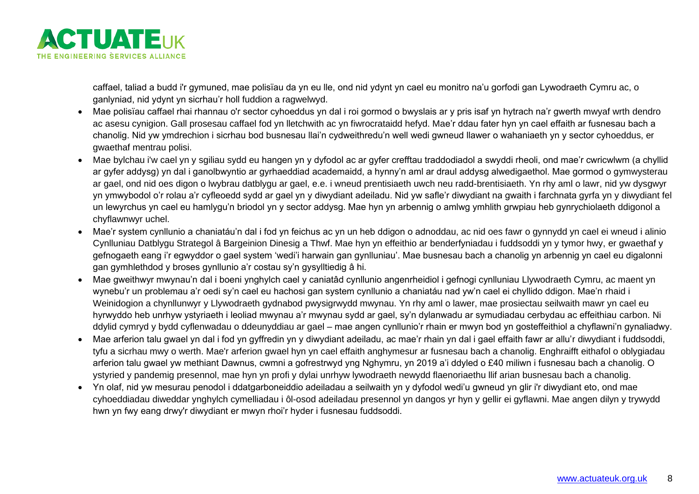

caffael, taliad a budd i'r gymuned, mae polisïau da yn eu lle, ond nid ydynt yn cael eu monitro na'u gorfodi gan Lywodraeth Cymru ac, o ganlyniad, nid ydynt yn sicrhau'r holl fuddion a ragwelwyd.

- Mae polisïau caffael rhai rhannau o'r sector cyhoeddus yn dal i roi gormod o bwyslais ar y pris isaf yn hytrach na'r gwerth mwyaf wrth dendro ac asesu cynigion. Gall prosesau caffael fod yn lletchwith ac yn fiwrocrataidd hefyd. Mae'r ddau fater hyn yn cael effaith ar fusnesau bach a chanolig. Nid yw ymdrechion i sicrhau bod busnesau llai'n cydweithredu'n well wedi gwneud llawer o wahaniaeth yn y sector cyhoeddus, er gwaethaf mentrau polisi.
- Mae bylchau i'w cael yn y sgiliau sydd eu hangen yn y dyfodol ac ar gyfer crefftau traddodiadol a swyddi rheoli, ond mae'r cwricwlwm (a chyllid ar gyfer addysg) yn dal i ganolbwyntio ar gyrhaeddiad academaidd, a hynny'n aml ar draul addysg alwedigaethol. Mae gormod o gymwysterau ar gael, ond nid oes digon o lwybrau datblygu ar gael, e.e. i wneud prentisiaeth uwch neu radd-brentisiaeth. Yn rhy aml o lawr, nid yw dysgwyr yn ymwybodol o'r rolau a'r cyfleoedd sydd ar gael yn y diwydiant adeiladu. Nid yw safle'r diwydiant na gwaith i farchnata gyrfa yn y diwydiant fel un lewyrchus yn cael eu hamlygu'n briodol yn y sector addysg. Mae hyn yn arbennig o amlwg ymhlith grwpiau heb gynrychiolaeth ddigonol a chyflawnwyr uchel.
- Mae'r system cynllunio a chaniatáu'n dal i fod yn feichus ac yn un heb ddigon o adnoddau, ac nid oes fawr o gynnydd yn cael ei wneud i alinio Cynlluniau Datblygu Strategol â Bargeinion Dinesig a Thwf. Mae hyn yn effeithio ar benderfyniadau i fuddsoddi yn y tymor hwy, er gwaethaf y gefnogaeth eang i'r egwyddor o gael system 'wedi'i harwain gan gynlluniau'. Mae busnesau bach a chanolig yn arbennig yn cael eu digalonni gan gymhlethdod y broses gynllunio a'r costau sy'n gysylltiedig â hi.
- Mae gweithwyr mwynau'n dal i boeni ynghylch cael y caniatâd cynllunio angenrheidiol i gefnogi cynlluniau Llywodraeth Cymru, ac maent yn wynebu'r un problemau a'r oedi sy'n cael eu hachosi gan system cynllunio a chaniatáu nad yw'n cael ei chyllido ddigon. Mae'n rhaid i Weinidogion a chynllunwyr y Llywodraeth gydnabod pwysigrwydd mwynau. Yn rhy aml o lawer, mae prosiectau seilwaith mawr yn cael eu hyrwyddo heb unrhyw ystyriaeth i leoliad mwynau a'r mwynau sydd ar gael, sy'n dylanwadu ar symudiadau cerbydau ac effeithiau carbon. Ni ddylid cymryd y bydd cyflenwadau o ddeunyddiau ar gael – mae angen cynllunio'r rhain er mwyn bod yn gosteffeithiol a chyflawni'n gynaliadwy.
- Mae arferion talu gwael yn dal i fod yn gyffredin yn y diwydiant adeiladu, ac mae'r rhain yn dal i gael effaith fawr ar allu'r diwydiant i fuddsoddi, tyfu a sicrhau mwy o werth. Mae'r arferion gwael hyn yn cael effaith anghymesur ar fusnesau bach a chanolig. Enghraifft eithafol o oblygiadau arferion talu gwael yw methiant Dawnus, cwmni a gofrestrwyd yng Nghymru, yn 2019 a'i ddyled o £40 miliwn i fusnesau bach a chanolig. O ystyried y pandemig presennol, mae hyn yn profi y dylai unrhyw lywodraeth newydd flaenoriaethu llif arian busnesau bach a chanolig.
- Yn olaf, nid yw mesurau penodol i ddatgarboneiddio adeiladau a seilwaith yn y dyfodol wedi'u gwneud yn glir i'r diwydiant eto, ond mae cyhoeddiadau diweddar ynghylch cymelliadau i ôl-osod adeiladau presennol yn dangos yr hyn y gellir ei gyflawni. Mae angen dilyn y trywydd hwn yn fwy eang drwy'r diwydiant er mwyn rhoi'r hyder i fusnesau fuddsoddi.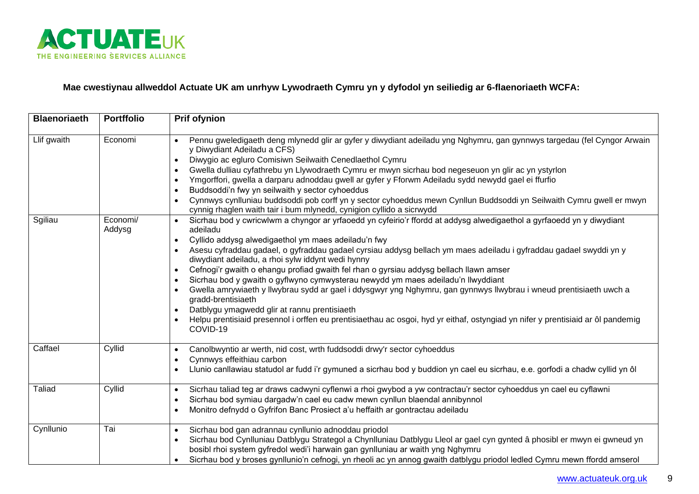

### **Mae cwestiynau allweddol Actuate UK am unrhyw Lywodraeth Cymru yn y dyfodol yn seiliedig ar 6-flaenoriaeth WCFA:**

| <b>Blaenoriaeth</b> | <b>Portffolio</b>  | <b>Prif ofynion</b>                                                                                                                                                                                                                                                                                                                                                                                                                                                                                                                                                                                                                                                                                                                                                                                                                                                                                                                                          |
|---------------------|--------------------|--------------------------------------------------------------------------------------------------------------------------------------------------------------------------------------------------------------------------------------------------------------------------------------------------------------------------------------------------------------------------------------------------------------------------------------------------------------------------------------------------------------------------------------------------------------------------------------------------------------------------------------------------------------------------------------------------------------------------------------------------------------------------------------------------------------------------------------------------------------------------------------------------------------------------------------------------------------|
| Llif gwaith         | Economi            | Pennu gweledigaeth deng mlynedd glir ar gyfer y diwydiant adeiladu yng Nghymru, gan gynnwys targedau (fel Cyngor Arwain<br>y Diwydiant Adeiladu a CFS)<br>Diwygio ac egluro Comisiwn Seilwaith Cenedlaethol Cymru<br>$\bullet$<br>Gwella dulliau cyfathrebu yn Llywodraeth Cymru er mwyn sicrhau bod negeseuon yn glir ac yn ystyrlon<br>$\bullet$<br>Ymgorffori, gwella a darparu adnoddau gwell ar gyfer y Fforwm Adeiladu sydd newydd gael ei ffurfio<br>$\bullet$<br>Buddsoddi'n fwy yn seilwaith y sector cyhoeddus<br>$\bullet$<br>Cynnwys cynlluniau buddsoddi pob corff yn y sector cyhoeddus mewn Cynllun Buddsoddi yn Seilwaith Cymru gwell er mwyn<br>$\bullet$<br>cynnig rhaglen waith tair i bum mlynedd, cynigion cyllido a sicrwydd                                                                                                                                                                                                           |
| Sgiliau             | Economi/<br>Addysg | Sicrhau bod y cwricwlwm a chyngor ar yrfaoedd yn cyfeirio'r ffordd at addysg alwedigaethol a gyrfaoedd yn y diwydiant<br>$\bullet$<br>adeiladu<br>Cyllido addysg alwedigaethol ym maes adeiladu'n fwy<br>Asesu cyfraddau gadael, o gyfraddau gadael cyrsiau addysg bellach ym maes adeiladu i gyfraddau gadael swyddi yn y<br>diwydiant adeiladu, a rhoi sylw iddynt wedi hynny<br>Cefnogi'r gwaith o ehangu profiad gwaith fel rhan o gyrsiau addysg bellach llawn amser<br>$\bullet$<br>Sicrhau bod y gwaith o gyflwyno cymwysterau newydd ym maes adeiladu'n llwyddiant<br>$\bullet$<br>Gwella amrywiaeth y llwybrau sydd ar gael i ddysgwyr yng Nghymru, gan gynnwys llwybrau i wneud prentisiaeth uwch a<br>$\bullet$<br>gradd-brentisiaeth<br>Datblygu ymagwedd glir at rannu prentisiaeth<br>$\bullet$<br>Helpu prentisiaid presennol i orffen eu prentisiaethau ac osgoi, hyd yr eithaf, ostyngiad yn nifer y prentisiaid ar ôl pandemig<br>COVID-19 |
| Caffael             | Cyllid             | Canolbwyntio ar werth, nid cost, wrth fuddsoddi drwy'r sector cyhoeddus<br>$\bullet$<br>Cynnwys effeithiau carbon<br>$\bullet$<br>Llunio canllawiau statudol ar fudd i'r gymuned a sicrhau bod y buddion yn cael eu sicrhau, e.e. gorfodi a chadw cyllid yn ôl<br>$\bullet$                                                                                                                                                                                                                                                                                                                                                                                                                                                                                                                                                                                                                                                                                  |
| <b>Taliad</b>       | Cyllid             | Sicrhau taliad teg ar draws cadwyni cyflenwi a rhoi gwybod a yw contractau'r sector cyhoeddus yn cael eu cyflawni<br>$\bullet$<br>Sicrhau bod symiau dargadw'n cael eu cadw mewn cynllun blaendal annibynnol<br>$\bullet$<br>Monitro defnydd o Gyfrifon Banc Prosiect a'u heffaith ar gontractau adeiladu<br>$\bullet$                                                                                                                                                                                                                                                                                                                                                                                                                                                                                                                                                                                                                                       |
| Cynllunio           | Tai                | Sicrhau bod gan adrannau cynllunio adnoddau priodol<br>$\bullet$<br>Sicrhau bod Cynlluniau Datblygu Strategol a Chynlluniau Datblygu Lleol ar gael cyn gynted â phosibl er mwyn ei gwneud yn<br>$\bullet$<br>bosibl rhoi system gyfredol wedi'i harwain gan gynlluniau ar waith yng Nghymru<br>Sicrhau bod y broses gynllunio'n cefnogi, yn rheoli ac yn annog gwaith datblygu priodol ledled Cymru mewn ffordd amserol                                                                                                                                                                                                                                                                                                                                                                                                                                                                                                                                      |